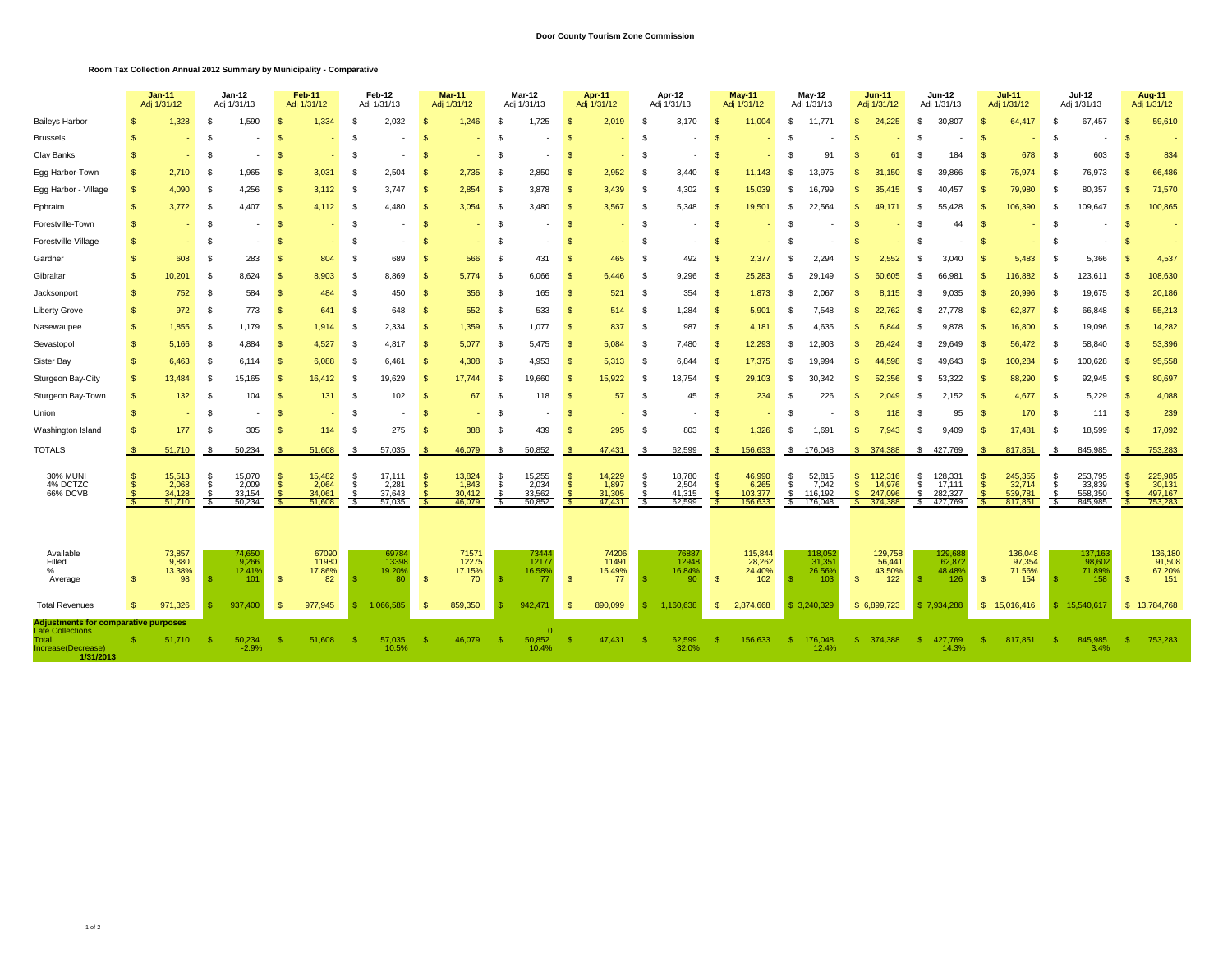## **Door County Tourism Zone Commission**

## **Room Tax Collection Annual 2012 Summary by Municipality - Comparative**

|                                                                                                                    |                   | $Jan-11$<br>Adi 1/31/12                    |                | <b>Jan-12</b><br>Adi 1/31/13                |                          | <b>Feb-11</b><br>Adj 1/31/12              | Feb-12<br>Adj 1/31/13 |                                             | <b>Mar 11</b><br>Adj 1/31/12 |                                           | <b>Mar-12</b><br>Adj 1/31/13 |                                     | Apr 11<br>Adj 1/31/12 |                                           | Apr-12<br>Adj 1/31/13 |                                             |             | <b>May-11</b><br>Adj 1/31/12                    |                    | May-12<br>Adj 1/31/13                             |                    | <b>Jun-11</b><br>Adj 1/31/12                       |          | <b>Jun-12</b><br>Adj 1/31/13                    |          | <b>Jul-11</b><br>Adj 1/31/12                       |          | Jul-12<br>Adj 1/31/13                            |          | <b>Aug-11</b><br>Adj 1/31/12                       |  |
|--------------------------------------------------------------------------------------------------------------------|-------------------|--------------------------------------------|----------------|---------------------------------------------|--------------------------|-------------------------------------------|-----------------------|---------------------------------------------|------------------------------|-------------------------------------------|------------------------------|-------------------------------------|-----------------------|-------------------------------------------|-----------------------|---------------------------------------------|-------------|-------------------------------------------------|--------------------|---------------------------------------------------|--------------------|----------------------------------------------------|----------|-------------------------------------------------|----------|----------------------------------------------------|----------|--------------------------------------------------|----------|----------------------------------------------------|--|
| <b>Baileys Harbor</b>                                                                                              | s                 | 1,328                                      | - \$           | 1,590                                       | \$                       | 1,334                                     | - 95                  | 2,032                                       | S                            | 1,246                                     | - S                          | 1,725                               | - 95                  | 2,019                                     | Ŝ.                    | 3,170                                       | - 95        | 11,004                                          | - \$               | 11,771                                            | \$                 | 24,225                                             | -S       | 30,807                                          | \$       | 64,417                                             | Ŝ.       | 67,457                                           | - \$     | 59,610                                             |  |
| <b>Brussels</b>                                                                                                    |                   |                                            | - \$           |                                             | \$                       |                                           | -8                    |                                             | \$.                          |                                           | -3                           |                                     | -9                    |                                           | - \$                  |                                             | S           |                                                 | £.                 |                                                   | S                  |                                                    | - S      |                                                 | -\$      |                                                    | S        |                                                  |          |                                                    |  |
| Clay Banks                                                                                                         | S                 |                                            | £.             |                                             | S.                       |                                           |                       |                                             | \$.                          |                                           | S                            |                                     |                       |                                           | - \$                  |                                             |             |                                                 | \$.                | 91                                                |                    | 61                                                 | -S       | 184                                             | -9       | 678                                                | £.       | 603                                              |          | 834                                                |  |
| Egg Harbor-Town                                                                                                    | \$.               | 2.710                                      | - \$           | 1.965                                       |                          | 3.031                                     |                       | 2.504                                       | \$.                          | 2,735                                     | S                            | 2.850                               |                       | 2.952                                     | - \$                  | 3.440                                       |             | 11.143                                          | - \$               | 13.975                                            | S                  | 150                                                |          | 39.866                                          | S.       | 75.974                                             | -S       | 76,973                                           |          | 66,486                                             |  |
| Egg Harbor - Village                                                                                               | S                 | 4,090                                      | $\mathfrak{S}$ | 4,256                                       | S.                       | 3,112                                     |                       | 3.747                                       | $\mathbf{s}$                 | 2,854                                     | .s                           | 3,878                               |                       | 3,439                                     | - \$                  | 4,302                                       | -S          | 15,039                                          | -\$                | 16.799                                            |                    | 35.415                                             |          | 40.457                                          | S.       | 79,980                                             | £.       | 80,357                                           | - \$     | 71,570                                             |  |
| Ephraim                                                                                                            | S                 | 3,772                                      | - \$           | 4,407                                       | S                        | 4.112                                     |                       | 4,480                                       | -S                           | 3,054                                     | £.                           | 3,480                               |                       | 3,567                                     | - \$                  | 5,348                                       | -S          | 19,501                                          | - \$               | 22,564                                            | -S                 | 49.171                                             |          | 55,428                                          | - 3      | 106,390                                            | -S       | 109,647                                          | - \$     | 100,865                                            |  |
| Forestville-Town                                                                                                   | \$                |                                            | -S             |                                             | S                        |                                           | -8                    |                                             | -S                           |                                           | -S                           |                                     |                       |                                           | - \$                  |                                             | -S          |                                                 | \$                 |                                                   | S                  |                                                    | -S       | 44                                              | -\$      |                                                    | Ŝ.       |                                                  | - \$     |                                                    |  |
| Forestville-Village                                                                                                | \$.               | ٠                                          | - \$           |                                             | S.                       |                                           |                       |                                             | \$.                          |                                           | S                            |                                     |                       |                                           | - \$                  |                                             |             |                                                 | - \$               |                                                   |                    |                                                    | -S       |                                                 | S.       |                                                    | £.       |                                                  |          |                                                    |  |
| Gardner                                                                                                            | \$.               | 608                                        | - \$           | 283                                         | S.                       | 804                                       | -93                   | 689                                         | S                            | 566                                       | S                            | 431                                 |                       | 465                                       | -9                    | 492                                         |             | 2.377                                           | \$                 | 2.294                                             |                    | 2,552                                              |          | 3.040                                           |          | 5,483                                              | -S       | 5,366                                            |          | 4,537                                              |  |
| Gibraltar                                                                                                          | $\mathbf{s}$      | 10,201                                     | - \$           | 8,624                                       | \$                       | 8,903                                     | - 35                  | 8,869                                       | -S                           | 5,774                                     | -8                           | 6,066                               |                       | 6,446                                     | - 3                   | 9,296                                       | -S          | 25,283                                          | - \$               | 29.149                                            | -S                 | 60,605                                             | - 35     | 66,981                                          | - 3      | 116,882                                            | -S       | 123,611                                          | - \$     | 108,630                                            |  |
| Jacksonport                                                                                                        | \$                | 752                                        | - \$           | 584                                         | \$                       | 484                                       | -8                    | 450                                         | -S                           | 356                                       | -S                           | 165                                 | -96                   | 521                                       | - \$                  | 354                                         | - \$        | 1,873                                           | - \$               | 2,067                                             | -S                 | 8,115                                              | -8       | 9,035                                           | - \$     | 20,996                                             | - \$     | 19,675                                           | - S      | 20,186                                             |  |
| <b>Liberty Grove</b>                                                                                               | \$                | 972                                        | - \$           | 773                                         | $\mathfrak{S}$           | 641                                       |                       | 648                                         | $\mathbf{s}$                 | 552                                       | $\mathbf{S}$                 | 533                                 |                       | 514                                       | -9                    | 1,284                                       | -S          | 5,901                                           | - \$               | 7.548                                             | -S                 | 22,762                                             | -S       | 27.778                                          | -9       | 62,877                                             | -S       | 66,848                                           | <b>S</b> | 55,213                                             |  |
| Nasewaupee                                                                                                         | \$                | 1,855                                      | - \$           | 1,179                                       | S.                       | 1,914                                     | -9                    | 2,334                                       | $\mathbf{s}$                 | 1,359                                     | -S                           | 1,077                               | -96                   | 837                                       | - 93                  | 987                                         | -S          | 4.181                                           | £.                 | 4,635                                             | я                  | 6.844                                              | -86      | 9,878                                           | - \$     | 16,800                                             | -S       | 19,096                                           | -8       | 14,282                                             |  |
| Sevastopol                                                                                                         | <sub>\$</sub>     | 5,166                                      | - \$           | 4,884                                       | \$                       | 4,527                                     | -9                    | 4,817                                       | -S                           | 5,077                                     | -8                           | 5.475                               | -9                    | 5,084                                     | - \$                  | 7,480                                       | - \$        | 12,293                                          | -\$                | 12.903                                            | -S                 | 26.424                                             | -S       | 29.649                                          | -9       | 56,472                                             | -S       | 58,840                                           | - \$     | 53,396                                             |  |
| Sister Bay                                                                                                         | S                 | 6.463                                      | - \$           | 6.114                                       | -S                       | 6.088                                     | -8                    | 6.461                                       | -8                           | 4.308                                     | £.                           | 4.953                               | -96                   | 5.313                                     | - \$                  | 6,844                                       | -S          | 17.375                                          | £.                 | 19.994                                            | -S                 | 44.598                                             | -S       | 49.643                                          | - \$     | 100.284                                            | -S       | 100,628                                          | - 95     | 95,558                                             |  |
| Sturgeon Bay-City                                                                                                  | \$                | 13.484                                     | - \$           | 15,165                                      | S                        | 16.412                                    | ſ.                    | 19.629                                      | -S                           | 17.744                                    | S                            | 19.660                              |                       | 15.922                                    | - \$                  | 18,754                                      | -S          | 29.103                                          | -\$                | 30.342                                            | -S                 | 52.356                                             |          | 53.322                                          | - \$     | 88.290                                             | S        | 92.945                                           | <b>S</b> | 80,697                                             |  |
| Sturgeon Bay-Town                                                                                                  | S                 | 132                                        | - \$           | 104                                         | S.                       | 131                                       | - 95                  | 102                                         | -S                           | 67                                        | £.                           | 118                                 |                       | 57                                        | - 93                  | 45                                          |             | 234                                             | \$.                | 226                                               | S                  | 2.049                                              | -8       | 152<br>$\overline{2}$                           | - \$     | 4,677                                              | -S       | 5,229                                            |          | 4,088                                              |  |
| Union                                                                                                              | S                 |                                            | £.             |                                             | S.                       |                                           |                       |                                             | S                            |                                           |                              |                                     |                       |                                           | -96                   |                                             |             |                                                 | - \$               |                                                   | S                  | 118                                                | -S       | 95                                              | -9       | 170                                                | - \$     | 111                                              | - S      | 239                                                |  |
| Washington Island                                                                                                  |                   | 177                                        |                | 305                                         |                          | 114                                       |                       | 275                                         |                              | 388                                       | -8                           | 439                                 |                       | 295                                       | -8                    | 803                                         |             | 1,326                                           | - \$               | 1,691                                             |                    | 7.943                                              |          | 9,409                                           | -9       | 17,481                                             | - S      | 18,599                                           |          | 17,092                                             |  |
| <b>TOTALS</b>                                                                                                      | - \$              | 51,710                                     | - \$           | 50,234                                      | - S                      | 51,608                                    | - S                   | 57,035                                      | - \$                         | 46,079                                    | -S                           | 50,852                              |                       | 47,431                                    | S                     | 62,599                                      | - S         | 156,633                                         |                    | \$ 176,048                                        |                    | \$374,388                                          |          | \$427,769                                       | - \$     | 817,851                                            | - \$     | 845.985                                          | -S       | 753,283                                            |  |
| <b>30% MUNI</b><br>4% DCTZC<br>66% DCVB                                                                            |                   | 15,513<br>2,068<br>34,128<br>51,710        | - \$<br>- \$   | 15,070<br>2,009<br>33.154<br>50,234         | -S<br>$\mathbf{\hat{s}}$ | 15,482<br>2,064<br>34.061<br>51,608       | - 86<br>- \$          | 17,111<br>2,281<br>37,643<br>57,035         | S<br>-S                      | 13,824<br>1,843<br>30,412<br>46,079       | -S<br>\$                     | 15,255<br>2,034<br>33,562<br>50,852 |                       | 14,229<br>1,897<br>31,305<br>47,431       | S.<br>- \$            | 18,780<br>2,504<br>41,315<br>62,599         | -S          | 46,990<br>6,265<br>103,377<br>156,633           | - \$<br>- \$<br>£. | 52,815<br>7,042<br>116,192<br>176,048             | S.<br>$\mathbb{S}$ | 112,316<br>14,976<br>247.096<br>374,388            | -S<br>£. | 128,331<br>17,111<br>282,327<br>427,769         | S<br>-\$ | 245,355<br>32,714<br>539.781<br>817,851            | -S<br>\$ | 253,795<br>33,839<br>558,350<br>845,985          | -S<br>-S | 225,985<br>30,131<br>497,167<br>753,283            |  |
| Available<br>Filled<br>%<br>Average<br><b>Total Revenues</b>                                                       | S<br>$\mathbf{s}$ | 73,857<br>9,880<br>13.38%<br>98<br>971,326 |                | 74,650<br>9,266<br>12.419<br>101<br>937,400 | - \$<br>- \$             | 67090<br>11980<br>17.86%<br>82<br>977,945 |                       | 69784<br>13398<br>19.20%<br>80<br>1,066,585 | - \$<br>$\mathbf{\hat{s}}$   | 71571<br>12275<br>17.15%<br>70<br>859,350 |                              | 73444<br>12177<br>16.58%<br>942,471 | -\$<br>- SS           | 74206<br>11491<br>15.49%<br>77<br>890,099 | -\$                   | 76887<br>12948<br>16.84%<br>90<br>1,160,638 | - \$<br>-\$ | 115,844<br>28,262<br>24.40%<br>102<br>2,874,668 | -\$                | 118,052<br>31,35<br>26.569<br>103<br>\$ 3,240,329 | -S                 | 129,758<br>56,441<br>43.50%<br>122<br>\$ 6,899,723 | -8       | 129,68<br>62,87<br>48.48%<br>126<br>\$7,934,288 | -\$      | 136,048<br>97,354<br>71.56%<br>154<br>\$15,016,416 | £.       | 137,163<br>98,602<br>71.89%<br>158<br>15,540,617 | - \$     | 136,180<br>91,508<br>67.20%<br>151<br>\$13,784,768 |  |
| <u>Adjustments for comparative purposes</u><br><b>Late Collections</b><br>Total<br>Increase(Decrease)<br>1/31/2013 |                   | 51.710                                     |                | 50.234<br>$-2.9%$                           | -\$                      | 51,608                                    |                       | 57.035<br>10.5%                             |                              | 46.079                                    |                              | 50,852<br>10.4%                     | - \$                  | 47,431                                    | - \$                  | 62,599<br>32.0%                             |             | 156.633                                         | - \$               | 176.048<br>12.4%                                  | S                  | 374.388                                            | S.       | 427,769<br>14.3%                                | -\$      | 817,851                                            | -8       | 845.985<br>3.4%                                  |          | 753,283                                            |  |